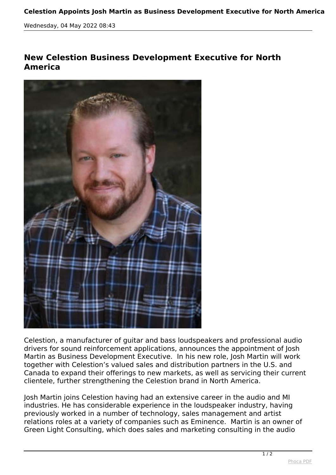## **Celestion Appoints Josh Martin as Business Development Executive for North America**

*Wednesday, 04 May 2022 08:43*

## **New Celestion Business Development Executive for North America**



*Celestion, a manufacturer of guitar and bass loudspeakers and professional audio drivers for sound reinforcement applications, announces the appointment of Josh Martin as Business Development Executive. In his new role, Josh Martin will work together with Celestion's valued sales and distribution partners in the U.S. and Canada to expand their offerings to new markets, as well as servicing their current clientele, further strengthening the Celestion brand in North America.*

*Josh Martin joins Celestion having had an extensive career in the audio and MI industries. He has considerable experience in the loudspeaker industry, having previously worked in a number of technology, sales management and artist relations roles at a variety of companies such as Eminence. Martin is an owner of Green Light Consulting, which does sales and marketing consulting in the audio*